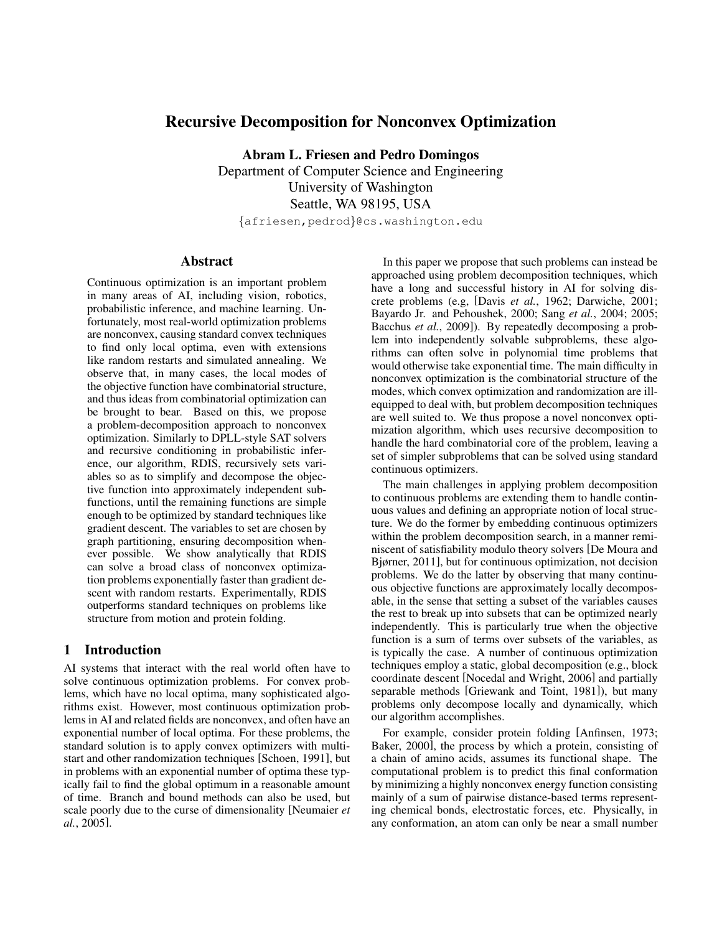# Recursive Decomposition for Nonconvex Optimization

Abram L. Friesen and Pedro Domingos Department of Computer Science and Engineering University of Washington Seattle, WA 98195, USA

{afriesen,pedrod}@cs.washington.edu

## **Abstract**

Continuous optimization is an important problem in many areas of AI, including vision, robotics, probabilistic inference, and machine learning. Unfortunately, most real-world optimization problems are nonconvex, causing standard convex techniques to find only local optima, even with extensions like random restarts and simulated annealing. We observe that, in many cases, the local modes of the objective function have combinatorial structure, and thus ideas from combinatorial optimization can be brought to bear. Based on this, we propose a problem-decomposition approach to nonconvex optimization. Similarly to DPLL-style SAT solvers and recursive conditioning in probabilistic inference, our algorithm, RDIS, recursively sets variables so as to simplify and decompose the objective function into approximately independent subfunctions, until the remaining functions are simple enough to be optimized by standard techniques like gradient descent. The variables to set are chosen by graph partitioning, ensuring decomposition whenever possible. We show analytically that RDIS can solve a broad class of nonconvex optimization problems exponentially faster than gradient descent with random restarts. Experimentally, RDIS outperforms standard techniques on problems like structure from motion and protein folding.

## 1 Introduction

AI systems that interact with the real world often have to solve continuous optimization problems. For convex problems, which have no local optima, many sophisticated algorithms exist. However, most continuous optimization problems in AI and related fields are nonconvex, and often have an exponential number of local optima. For these problems, the standard solution is to apply convex optimizers with multistart and other randomization techniques [Schoen, 1991], but in problems with an exponential number of optima these typically fail to find the global optimum in a reasonable amount of time. Branch and bound methods can also be used, but scale poorly due to the curse of dimensionality [Neumaier *et al.*, 2005].

In this paper we propose that such problems can instead be approached using problem decomposition techniques, which have a long and successful history in AI for solving discrete problems (e.g, [Davis *et al.*, 1962; Darwiche, 2001; Bayardo Jr. and Pehoushek, 2000; Sang *et al.*, 2004; 2005; Bacchus *et al.*, 2009]). By repeatedly decomposing a problem into independently solvable subproblems, these algorithms can often solve in polynomial time problems that would otherwise take exponential time. The main difficulty in nonconvex optimization is the combinatorial structure of the modes, which convex optimization and randomization are illequipped to deal with, but problem decomposition techniques are well suited to. We thus propose a novel nonconvex optimization algorithm, which uses recursive decomposition to handle the hard combinatorial core of the problem, leaving a set of simpler subproblems that can be solved using standard continuous optimizers.

The main challenges in applying problem decomposition to continuous problems are extending them to handle continuous values and defining an appropriate notion of local structure. We do the former by embedding continuous optimizers within the problem decomposition search, in a manner reminiscent of satisfiability modulo theory solvers [De Moura and Bjørner, 2011], but for continuous optimization, not decision problems. We do the latter by observing that many continuous objective functions are approximately locally decomposable, in the sense that setting a subset of the variables causes the rest to break up into subsets that can be optimized nearly independently. This is particularly true when the objective function is a sum of terms over subsets of the variables, as is typically the case. A number of continuous optimization techniques employ a static, global decomposition (e.g., block coordinate descent [Nocedal and Wright, 2006] and partially separable methods [Griewank and Toint, 1981]), but many problems only decompose locally and dynamically, which our algorithm accomplishes.

For example, consider protein folding [Anfinsen, 1973; Baker, 2000], the process by which a protein, consisting of a chain of amino acids, assumes its functional shape. The computational problem is to predict this final conformation by minimizing a highly nonconvex energy function consisting mainly of a sum of pairwise distance-based terms representing chemical bonds, electrostatic forces, etc. Physically, in any conformation, an atom can only be near a small number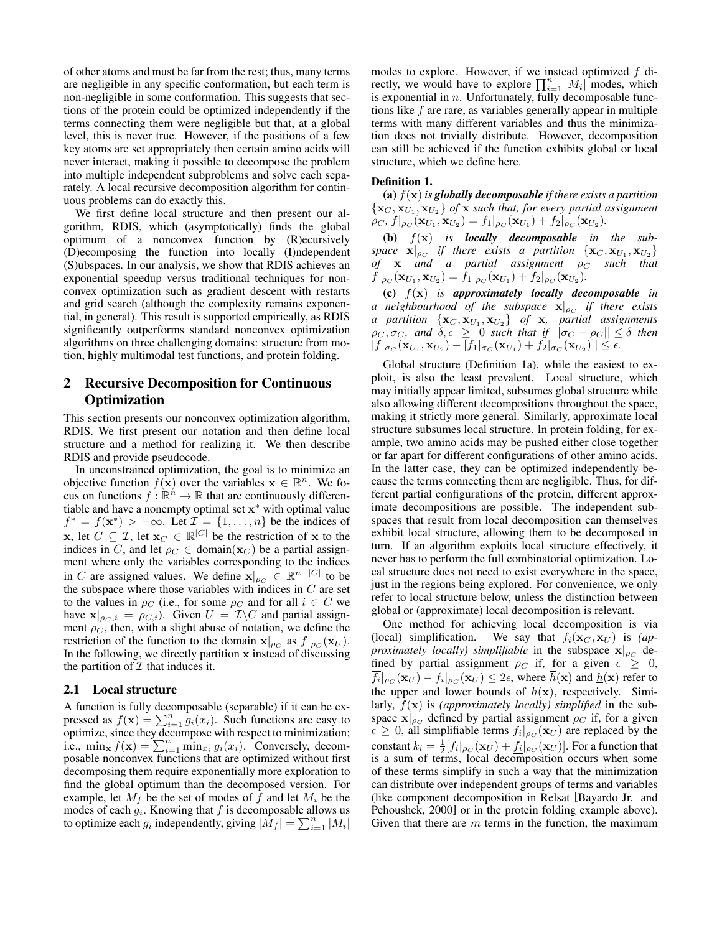of other atoms and must be far from the rest; thus, many terms are negligible in any specific conformation, but each term is non-negligible in some conformation. This suggests that sections of the protein could be optimized independently if the terms connecting them were negligible but that, at a global level, this is never true. However, if the positions of a few key atoms are set appropriately then certain amino acids will never interact, making it possible to decompose the problem into multiple independent subproblems and solve each separately. A local recursive decomposition algorithm for continuous problems can do exactly this.

We first define local structure and then present our algorithm, RDIS, which (asymptotically) finds the global optimum of a nonconvex function by (R)ecursively (D)ecomposing the function into locally (I)ndependent (S)ubspaces. In our analysis, we show that RDIS achieves an exponential speedup versus traditional techniques for nonconvex optimization such as gradient descent with restarts and grid search (although the complexity remains exponential, in general). This result is supported empirically, as RDIS significantly outperforms standard nonconvex optimization algorithms on three challenging domains: structure from motion, highly multimodal test functions, and protein folding.

# 2 Recursive Decomposition for Continuous Optimization

This section presents our nonconvex optimization algorithm, RDIS. We first present our notation and then define local structure and a method for realizing it. We then describe RDIS and provide pseudocode.

In unconstrained optimization, the goal is to minimize an objective function  $f(\mathbf{x})$  over the variables  $\mathbf{x} \in \mathbb{R}^n$ . We focus on functions  $f: \mathbb{R}^n \to \mathbb{R}$  that are continuously differentiable and have a nonempty optimal set  $x^*$  with optimal value  $f^* = f(\mathbf{x}^*) > -\infty$ . Let  $\mathcal{I} = \{1, \ldots, n\}$  be the indices of **x**, let  $C \subseteq \mathcal{I}$ , let  $\mathbf{x}_C \in \mathbb{R}^{|C|}$  be the restriction of **x** to the indices in C, and let  $\rho_C \in \text{domain}(\mathbf{x}_C)$  be a partial assignment where only the variables corresponding to the indices in C are assigned values. We define  $\mathbf{x}|_{\rho_C} \in \mathbb{R}^{n-|C|}$  to be the subspace where those variables with indices in  $C$  are set to the values in  $\rho_C$  (i.e., for some  $\rho_C$  and for all  $i \in C$  we have  $\mathbf{x}|_{\rho_C, i} = \rho_{C, i}$ ). Given  $U = \mathcal{I} \backslash C$  and partial assignment  $\rho_C$ , then, with a slight abuse of notation, we define the restriction of the function to the domain  $\mathbf{x}|_{\rho_C}$  as  $f|_{\rho_C}(\mathbf{x}_U)$ . In the following, we directly partition  $x$  instead of discussing the partition of  $\mathcal I$  that induces it.

## 2.1 Local structure

A function is fully decomposable (separable) if it can be expressed as  $f(\mathbf{x}) = \sum_{i=1}^{n} g_i(x_i)$ . Such functions are easy to optimize, since they decompose with respect to minimization; i.e.,  $\min_{\mathbf{x}} f(\mathbf{x}) = \sum_{i=1}^{n} \min_{x_i} g_i(x_i)$ . Conversely, decomposable nonconvex functions that are optimized without first decomposing them require exponentially more exploration to find the global optimum than the decomposed version. For example, let  $M_f$  be the set of modes of f and let  $M_i$  be the modes of each  $g_i$ . Knowing that f is decomposable allows us to optimize each  $g_i$  independently, giving  $|\dot{M}_f| = \sum_{i=1}^n |M_i|$ 

modes to explore. However, if we instead optimized  $f$  directly, we would have to explore  $\prod_{i=1}^{n} |M_i|$  modes, which is exponential in  $n$ . Unfortunately, fully decomposable functions like  $f$  are rare, as variables generally appear in multiple terms with many different variables and thus the minimization does not trivially distribute. However, decomposition can still be achieved if the function exhibits global or local structure, which we define here.

#### Definition 1.

(a)  $f(\mathbf{x})$  *is globally decomposable if there exists a partition*  $\{ {\bf x}_C, {\bf x}_{U_1}, {\bf x}_{U_2} \}$  of  ${\bf x}$  *such that, for every partial assignment*  $\rho_C, f|_{\rho_C}(\mathbf{x}_{U_1}, \mathbf{x}_{U_2}) = f_1|_{\rho_C}(\mathbf{x}_{U_1}) + f_2|_{\rho_C}(\mathbf{x}_{U_2}).$ 

(b) f(x) *is locally decomposable in the sub* $space \propto |\rho_C|$  if there exists a partition  $\{{\bf x}_C, {\bf x}_{U_1}, {\bf x}_{U_2}\}$  $of$  **x** *and a partial assignment*  $\rho_C$  *such that*  $f|_{\rho_C}(\mathbf{x}_{U_1}, \mathbf{x}_{U_2}) = f_1|_{\rho_C}(\mathbf{x}_{U_1}) + f_2|_{\rho_C}(\mathbf{x}_{U_2}).$ 

(c) f(x) *is approximately locally decomposable in*  $a$  neighbourhood of the subspace  $\mathbf{x}|_{\rho_C}$  if there exists *a* partition  $\{x_C, x_{U_1}, x_{U_2}\}$  of x, partial assignments  $\rho_C, \sigma_C,$  and  $\delta, \epsilon \geq 0$  such that if  $||\sigma_C - \rho_C|| \leq \delta$  then  $|f|_{\sigma_C}(\mathbf{x}_{U_1}, \mathbf{x}_{U_2}) - [f_1|_{\sigma_C}(\mathbf{x}_{U_1}) + f_2|_{\sigma_C}(\mathbf{x}_{U_2})]| \le \epsilon.$ 

Global structure (Definition 1a), while the easiest to exploit, is also the least prevalent. Local structure, which may initially appear limited, subsumes global structure while also allowing different decompositions throughout the space, making it strictly more general. Similarly, approximate local structure subsumes local structure. In protein folding, for example, two amino acids may be pushed either close together or far apart for different configurations of other amino acids. In the latter case, they can be optimized independently because the terms connecting them are negligible. Thus, for different partial configurations of the protein, different approximate decompositions are possible. The independent subspaces that result from local decomposition can themselves exhibit local structure, allowing them to be decomposed in turn. If an algorithm exploits local structure effectively, it never has to perform the full combinatorial optimization. Local structure does not need to exist everywhere in the space, just in the regions being explored. For convenience, we only refer to local structure below, unless the distinction between global or (approximate) local decomposition is relevant.

One method for achieving local decomposition is via (local) simplification. We say that  $f_i(\mathbf{x}_C, \mathbf{x}_U)$  is  $(ap$ *proximately locally) simplifiable* in the subspace  $\mathbf{x}|_{\rho_C}$  defined by partial assignment  $\rho_C$  if, for a given  $\epsilon \geq 0$ ,  $\overline{f_i}|_{\rho_C}(\mathbf{x}_U) - \underline{f_i}|_{\rho_C}(\mathbf{x}_U) \leq 2\epsilon$ , where  $\overline{h}(\mathbf{x})$  and  $\underline{h}(\mathbf{x})$  refer to the upper and lower bounds of  $h(x)$ , respectively. Similarly, f(x) is *(approximately locally) simplified* in the subspace  $\mathbf{x}|_{\rho_C}$  defined by partial assignment  $\rho_C$  if, for a given  $\epsilon \geq 0$ , all simplifiable terms  $f_i|_{\rho_C}(\mathbf{x}_U)$  are replaced by the constant  $k_i = \frac{1}{2} [\overline{f_i}]_{\rho_C} (\mathbf{x}_U) + \underline{f_i}|_{\rho_C} (\mathbf{x}_U)]$ . For a function that is a sum of terms, local decomposition occurs when some of these terms simplify in such a way that the minimization can distribute over independent groups of terms and variables (like component decomposition in Relsat [Bayardo Jr. and Pehoushek, 2000] or in the protein folding example above). Given that there are  $m$  terms in the function, the maximum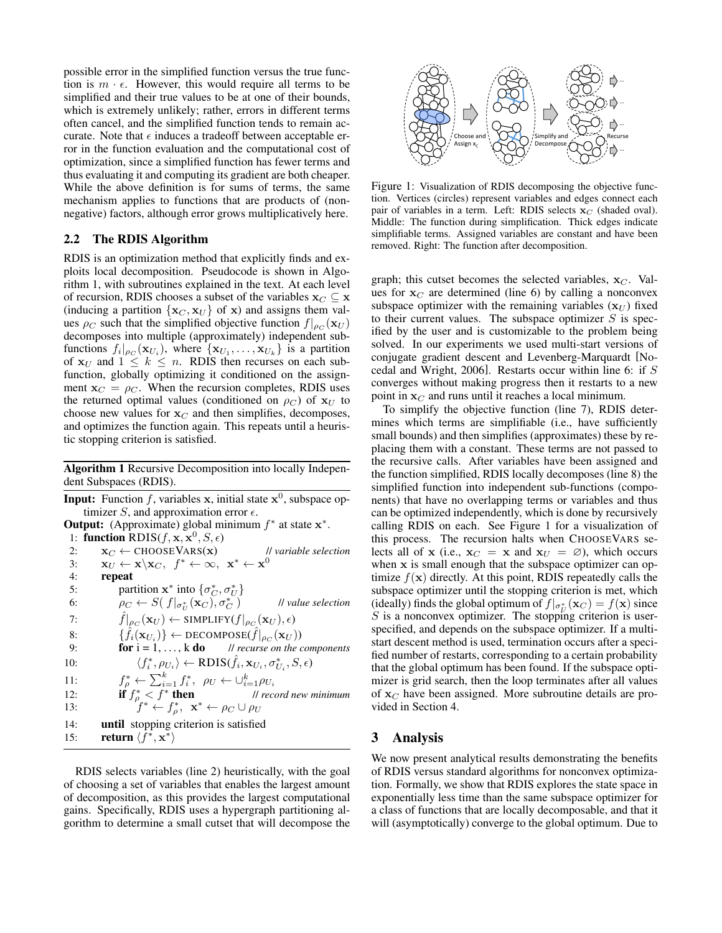possible error in the simplified function versus the true function is  $m \cdot \epsilon$ . However, this would require all terms to be simplified and their true values to be at one of their bounds, which is extremely unlikely; rather, errors in different terms often cancel, and the simplified function tends to remain accurate. Note that  $\epsilon$  induces a tradeoff between acceptable error in the function evaluation and the computational cost of optimization, since a simplified function has fewer terms and thus evaluating it and computing its gradient are both cheaper. While the above definition is for sums of terms, the same mechanism applies to functions that are products of (nonnegative) factors, although error grows multiplicatively here.

## 2.2 The RDIS Algorithm

RDIS is an optimization method that explicitly finds and exploits local decomposition. Pseudocode is shown in Algorithm 1, with subroutines explained in the text. At each level of recursion, RDIS chooses a subset of the variables  $\mathbf{x}_C \subseteq \mathbf{x}$ (inducing a partition  $\{x_C, x_U\}$  of x) and assigns them values  $\rho_C$  such that the simplified objective function  $f|_{\rho_C}(\mathbf{x}_U)$ decomposes into multiple (approximately) independent subfunctions  $f_i|_{\rho_C}(\mathbf{x}_{U_i})$ , where  $\{\mathbf{x}_{U_1}, \dots, \mathbf{x}_{U_k}\}\)$  is a partition of  $x_U$  and  $1 \leq k \leq n$ . RDIS then recurses on each subfunction, globally optimizing it conditioned on the assignment  $x_C = \rho_C$ . When the recursion completes, RDIS uses the returned optimal values (conditioned on  $\rho_C$ ) of  $\mathbf{x}_U$  to choose new values for  $x_C$  and then simplifies, decomposes, and optimizes the function again. This repeats until a heuristic stopping criterion is satisfied.

Algorithm 1 Recursive Decomposition into locally Independent Subspaces (RDIS).

**Input:** Function f, variables x, initial state  $x^0$ , subspace optimizer S, and approximation error  $\epsilon$ .

```
Output: (Approximate) global minimum f^* at state x^*.
  1: function RDIS(f, \mathbf{x}, \mathbf{x}^0, S, \epsilon)
  2: \mathbf{x}_C \leftarrow \text{CHOOSEVARS}(\mathbf{x}) // variable selection
  3: \mathbf{x}_U \leftarrow \mathbf{x} \setminus \mathbf{x}_C, \ f^* \leftarrow \infty, \ \mathbf{x}^* \leftarrow \mathbf{x}^04: repeat
  5: partition \mathbf{x}^* into \{\sigma_C^*, \sigma_U^*\}6: \rho_C \leftarrow S(f|_{\sigma_U^*}(\mathbf{x}_C), \sigma_C^*C ) // value selection
  7: \hat{f}|_{\rho_C}(\mathbf{x}_U) \leftarrow \text{SIMPLIFY}(f|_{\rho_C}(\mathbf{x}_U), \epsilon)8: \{ \hat{f}_i(\mathbf{x}_{U_i}) \} \leftarrow \text{DECOMPOSE}(\hat{f}|_{\rho_C}(\mathbf{x}_U))9: for i = 1, ..., k do // recurse on the components
10: \langle f_i^*, \rho_{U_i} \rangle \leftarrow \text{RDIS}(f_i, \mathbf{x}_{U_i}, \sigma_{U_i}^*<br>
11: f_{\rho}^* \leftarrow \sum_{i=1}^k f_i^*, \ \rho_{U} \leftarrow \bigcup_{i=1}^k \rho_{U_i}\langle \hat{f}_i, \rho_{U_i} \rangle \leftarrow \text{RDIS}(\hat{f}_i, \mathbf{x}_{U_i}, \sigma_{U_i}^*, S, \epsilon)11: f
12: if f^*_{\rho} < f^* then II record new minimum
13: f^* \leftarrow f_\rho^*, \mathbf{x}^* \leftarrow \rho_C \cup \rho_U14: until stopping criterion is satisfied
15: return \langle \bar{f}^*, \mathbf{x}^* \rangle
```
RDIS selects variables (line 2) heuristically, with the goal of choosing a set of variables that enables the largest amount of decomposition, as this provides the largest computational gains. Specifically, RDIS uses a hypergraph partitioning algorithm to determine a small cutset that will decompose the



Figure 1: Visualization of RDIS decomposing the objective function. Vertices (circles) represent variables and edges connect each pair of variables in a term. Left: RDIS selects  $x_C$  (shaded oval). Middle: The function during simplification. Thick edges indicate simplifiable terms. Assigned variables are constant and have been removed. Right: The function after decomposition.

graph; this cutset becomes the selected variables,  $x_C$ . Values for  $x_C$  are determined (line 6) by calling a nonconvex subspace optimizer with the remaining variables  $(\mathbf{x}_U)$  fixed to their current values. The subspace optimizer  $S$  is specified by the user and is customizable to the problem being solved. In our experiments we used multi-start versions of conjugate gradient descent and Levenberg-Marquardt [Nocedal and Wright, 2006]. Restarts occur within line 6: if S converges without making progress then it restarts to a new point in  $x_C$  and runs until it reaches a local minimum.

To simplify the objective function (line 7), RDIS determines which terms are simplifiable (i.e., have sufficiently small bounds) and then simplifies (approximates) these by replacing them with a constant. These terms are not passed to the recursive calls. After variables have been assigned and the function simplified, RDIS locally decomposes (line 8) the simplified function into independent sub-functions (components) that have no overlapping terms or variables and thus can be optimized independently, which is done by recursively calling RDIS on each. See Figure 1 for a visualization of this process. The recursion halts when CHOOSEVARS selects all of x (i.e.,  $x_C = x$  and  $x_U = \emptyset$ ), which occurs when x is small enough that the subspace optimizer can optimize  $f(\mathbf{x})$  directly. At this point, RDIS repeatedly calls the subspace optimizer until the stopping criterion is met, which (ideally) finds the global optimum of  $f|_{\sigma_U^*}(\mathbf{x}_C) = f(\mathbf{x})$  since  $S$  is a nonconvex optimizer. The stopping criterion is userspecified, and depends on the subspace optimizer. If a multistart descent method is used, termination occurs after a specified number of restarts, corresponding to a certain probability that the global optimum has been found. If the subspace optimizer is grid search, then the loop terminates after all values of  $x_C$  have been assigned. More subroutine details are provided in Section 4.

## 3 Analysis

We now present analytical results demonstrating the benefits of RDIS versus standard algorithms for nonconvex optimization. Formally, we show that RDIS explores the state space in exponentially less time than the same subspace optimizer for a class of functions that are locally decomposable, and that it will (asymptotically) converge to the global optimum. Due to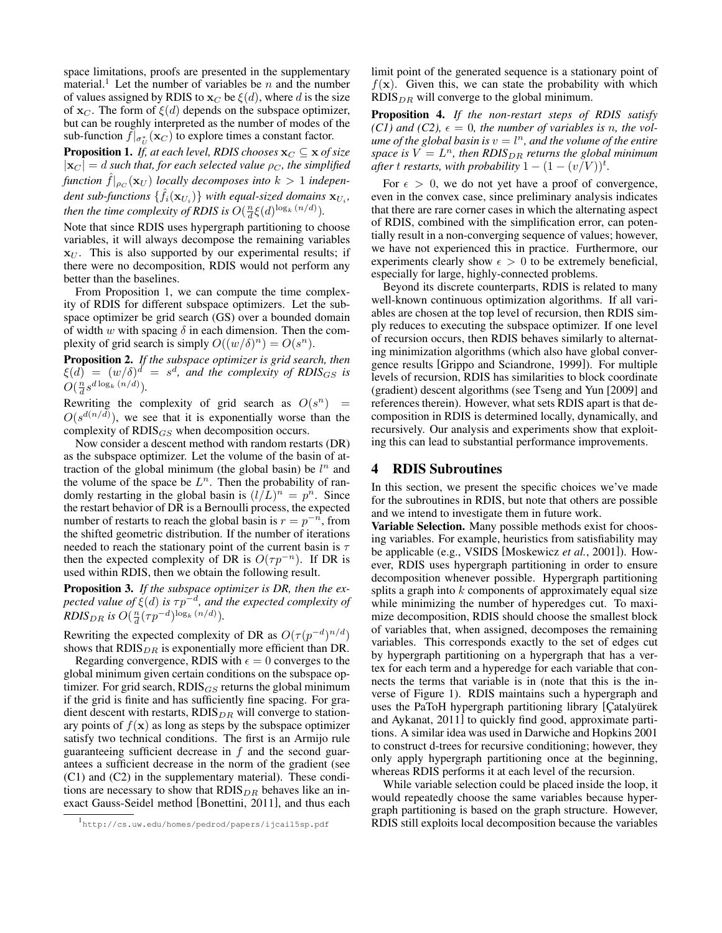space limitations, proofs are presented in the supplementary material.<sup>1</sup> Let the number of variables be  $n$  and the number of values assigned by RDIS to  $x_C$  be  $\xi(d)$ , where d is the size of  $x_C$ . The form of  $\xi(d)$  depends on the subspace optimizer, but can be roughly interpreted as the number of modes of the sub-function  $f|_{\sigma^*_{U}}(\mathbf{x}_{C})$  to explore times a constant factor.

**Proposition 1.** *If, at each level, RDIS chooses*  $\mathbf{x}_C \subseteq \mathbf{x}$  *of size*  $|\mathbf{x}_C| = d$  *such that, for each selected value*  $\rho_C$ *, the simplified*  $f$ unction  $\hat{f}|_{\rho_C}(\mathbf{x}_U)$  *locally decomposes into*  $k > 1$  *indepen*dent sub-functions  $\{\hat{f}_i(\mathbf{x}_{U_i})\}$  with equal-sized domains  $\mathbf{x}_{U_i}$ , *then the time complexity of RDIS is*  $O(\frac{n}{d}\xi(d)^{\log_k(n/d)})$ .

Note that since RDIS uses hypergraph partitioning to choose variables, it will always decompose the remaining variables  $x_U$ . This is also supported by our experimental results; if there were no decomposition, RDIS would not perform any better than the baselines.

From Proposition 1, we can compute the time complexity of RDIS for different subspace optimizers. Let the subspace optimizer be grid search (GS) over a bounded domain of width w with spacing  $\delta$  in each dimension. Then the complexity of grid search is simply  $O((w/\delta)^n) = O(s^n)$ .

Proposition 2. *If the subspace optimizer is grid search, then*  $\xi(d) = (w/\delta)^d = s^d$ , and the complexity of RDIS<sub>GS</sub> is  $O(\frac{n}{d} s^{d \log_k (n/d)}).$ 

Rewriting the complexity of grid search as  $O(s^n)$  =  $O(s^{d(n/d)})$ , we see that it is exponentially worse than the complexity of  $RDIS_{GS}$  when decomposition occurs.

Now consider a descent method with random restarts (DR) as the subspace optimizer. Let the volume of the basin of attraction of the global minimum (the global basin) be  $l^n$  and the volume of the space be  $L<sup>n</sup>$ . Then the probability of randomly restarting in the global basin is  $(l/L)^n = p^n$ . Since the restart behavior of DR is a Bernoulli process, the expected number of restarts to reach the global basin is  $r = p^{-n}$ , from the shifted geometric distribution. If the number of iterations needed to reach the stationary point of the current basin is  $\tau$ then the expected complexity of DR is  $O(\tau p^{-n})$ . If DR is used within RDIS, then we obtain the following result.

Proposition 3. *If the subspace optimizer is DR, then the expected value of* ξ(*d*) *is*  $τp^{-d}$ *, and the expected complexity of RDIS*<sub>DR</sub> is  $O(\frac{n}{d}(\tau p^{-d})^{\log_k(n/d)})$ .

Rewriting the expected complexity of DR as  $O(\tau(p^{-d})^{n/d})$ shows that  $RDIS_{DR}$  is exponentially more efficient than DR.

Regarding convergence, RDIS with  $\epsilon = 0$  converges to the global minimum given certain conditions on the subspace optimizer. For grid search,  $RDIS_{GS}$  returns the global minimum if the grid is finite and has sufficiently fine spacing. For gradient descent with restarts,  $RDIS_{DR}$  will converge to stationary points of  $f(\mathbf{x})$  as long as steps by the subspace optimizer satisfy two technical conditions. The first is an Armijo rule guaranteeing sufficient decrease in  $f$  and the second guarantees a sufficient decrease in the norm of the gradient (see (C1) and (C2) in the supplementary material). These conditions are necessary to show that  $RDIS_{DR}$  behaves like an inexact Gauss-Seidel method [Bonettini, 2011], and thus each limit point of the generated sequence is a stationary point of  $f(\mathbf{x})$ . Given this, we can state the probability with which  $RDIS<sub>DR</sub>$  will converge to the global minimum.

Proposition 4. *If the non-restart steps of RDIS satisfy*  $(C1)$  and  $(C2)$ ,  $\epsilon = 0$ , the number of variables is n, the vol $u$ *me of the global basin is*  $v = l<sup>n</sup>$ *, and the volume of the entire*  $space$  is  $V = L<sup>n</sup>$ , then  $RDIS_{DR}$  returns the global minimum *after* t *restarts, with probability*  $1 - (1 - (v/V))^t$ .

For  $\epsilon > 0$ , we do not yet have a proof of convergence, even in the convex case, since preliminary analysis indicates that there are rare corner cases in which the alternating aspect of RDIS, combined with the simplification error, can potentially result in a non-converging sequence of values; however, we have not experienced this in practice. Furthermore, our experiments clearly show  $\epsilon > 0$  to be extremely beneficial, especially for large, highly-connected problems.

Beyond its discrete counterparts, RDIS is related to many well-known continuous optimization algorithms. If all variables are chosen at the top level of recursion, then RDIS simply reduces to executing the subspace optimizer. If one level of recursion occurs, then RDIS behaves similarly to alternating minimization algorithms (which also have global convergence results [Grippo and Sciandrone, 1999]). For multiple levels of recursion, RDIS has similarities to block coordinate (gradient) descent algorithms (see Tseng and Yun [2009] and references therein). However, what sets RDIS apart is that decomposition in RDIS is determined locally, dynamically, and recursively. Our analysis and experiments show that exploiting this can lead to substantial performance improvements.

## 4 RDIS Subroutines

In this section, we present the specific choices we've made for the subroutines in RDIS, but note that others are possible and we intend to investigate them in future work.

Variable Selection. Many possible methods exist for choosing variables. For example, heuristics from satisfiability may be applicable (e.g., VSIDS [Moskewicz *et al.*, 2001]). However, RDIS uses hypergraph partitioning in order to ensure decomposition whenever possible. Hypergraph partitioning splits a graph into  $k$  components of approximately equal size while minimizing the number of hyperedges cut. To maximize decomposition, RDIS should choose the smallest block of variables that, when assigned, decomposes the remaining variables. This corresponds exactly to the set of edges cut by hypergraph partitioning on a hypergraph that has a vertex for each term and a hyperedge for each variable that connects the terms that variable is in (note that this is the inverse of Figure 1). RDIS maintains such a hypergraph and uses the PaToH hypergraph partitioning library [Catalyurek] and Aykanat, 2011] to quickly find good, approximate partitions. A similar idea was used in Darwiche and Hopkins 2001 to construct d-trees for recursive conditioning; however, they only apply hypergraph partitioning once at the beginning, whereas RDIS performs it at each level of the recursion.

While variable selection could be placed inside the loop, it would repeatedly choose the same variables because hypergraph partitioning is based on the graph structure. However, RDIS still exploits local decomposition because the variables

<sup>1</sup> http://cs.uw.edu/homes/pedrod/papers/ijcai15sp.pdf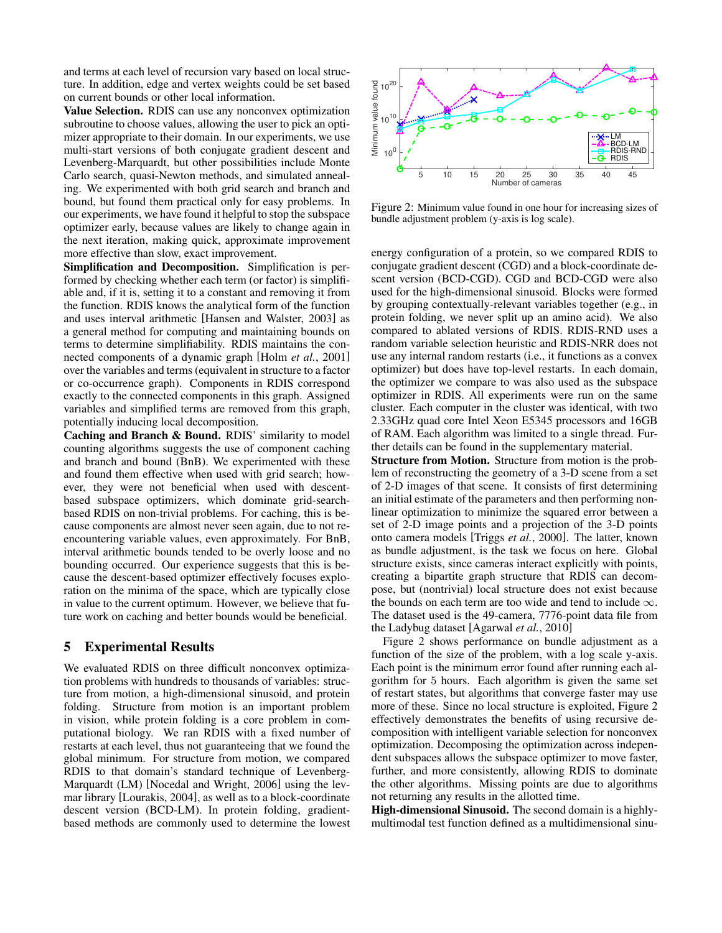and terms at each level of recursion vary based on local structure. In addition, edge and vertex weights could be set based on current bounds or other local information.

Value Selection. RDIS can use any nonconvex optimization subroutine to choose values, allowing the user to pick an optimizer appropriate to their domain. In our experiments, we use multi-start versions of both conjugate gradient descent and Levenberg-Marquardt, but other possibilities include Monte Carlo search, quasi-Newton methods, and simulated annealing. We experimented with both grid search and branch and bound, but found them practical only for easy problems. In our experiments, we have found it helpful to stop the subspace optimizer early, because values are likely to change again in the next iteration, making quick, approximate improvement more effective than slow, exact improvement.

Simplification and Decomposition. Simplification is performed by checking whether each term (or factor) is simplifiable and, if it is, setting it to a constant and removing it from the function. RDIS knows the analytical form of the function and uses interval arithmetic [Hansen and Walster, 2003] as a general method for computing and maintaining bounds on terms to determine simplifiability. RDIS maintains the connected components of a dynamic graph [Holm *et al.*, 2001] over the variables and terms (equivalent in structure to a factor or co-occurrence graph). Components in RDIS correspond exactly to the connected components in this graph. Assigned variables and simplified terms are removed from this graph, potentially inducing local decomposition.

Caching and Branch & Bound. RDIS' similarity to model counting algorithms suggests the use of component caching and branch and bound (BnB). We experimented with these and found them effective when used with grid search; however, they were not beneficial when used with descentbased subspace optimizers, which dominate grid-searchbased RDIS on non-trivial problems. For caching, this is because components are almost never seen again, due to not reencountering variable values, even approximately. For BnB, interval arithmetic bounds tended to be overly loose and no bounding occurred. Our experience suggests that this is because the descent-based optimizer effectively focuses exploration on the minima of the space, which are typically close in value to the current optimum. However, we believe that future work on caching and better bounds would be beneficial.

# 5 Experimental Results

We evaluated RDIS on three difficult nonconvex optimization problems with hundreds to thousands of variables: structure from motion, a high-dimensional sinusoid, and protein folding. Structure from motion is an important problem in vision, while protein folding is a core problem in computational biology. We ran RDIS with a fixed number of restarts at each level, thus not guaranteeing that we found the global minimum. For structure from motion, we compared RDIS to that domain's standard technique of Levenberg-Marquardt (LM) [Nocedal and Wright, 2006] using the levmar library [Lourakis, 2004], as well as to a block-coordinate descent version (BCD-LM). In protein folding, gradientbased methods are commonly used to determine the lowest



Figure 2: Minimum value found in one hour for increasing sizes of bundle adjustment problem (y-axis is log scale).

energy configuration of a protein, so we compared RDIS to conjugate gradient descent (CGD) and a block-coordinate descent version (BCD-CGD). CGD and BCD-CGD were also used for the high-dimensional sinusoid. Blocks were formed by grouping contextually-relevant variables together (e.g., in protein folding, we never split up an amino acid). We also compared to ablated versions of RDIS. RDIS-RND uses a random variable selection heuristic and RDIS-NRR does not use any internal random restarts (i.e., it functions as a convex optimizer) but does have top-level restarts. In each domain, the optimizer we compare to was also used as the subspace optimizer in RDIS. All experiments were run on the same cluster. Each computer in the cluster was identical, with two 2.33GHz quad core Intel Xeon E5345 processors and 16GB of RAM. Each algorithm was limited to a single thread. Further details can be found in the supplementary material.

Structure from Motion. Structure from motion is the problem of reconstructing the geometry of a 3-D scene from a set of 2-D images of that scene. It consists of first determining an initial estimate of the parameters and then performing nonlinear optimization to minimize the squared error between a set of 2-D image points and a projection of the 3-D points onto camera models [Triggs *et al.*, 2000]. The latter, known as bundle adjustment, is the task we focus on here. Global structure exists, since cameras interact explicitly with points, creating a bipartite graph structure that RDIS can decompose, but (nontrivial) local structure does not exist because the bounds on each term are too wide and tend to include  $\infty$ . The dataset used is the 49-camera, 7776-point data file from the Ladybug dataset [Agarwal *et al.*, 2010]

Figure 2 shows performance on bundle adjustment as a function of the size of the problem, with a log scale y-axis. Each point is the minimum error found after running each algorithm for 5 hours. Each algorithm is given the same set of restart states, but algorithms that converge faster may use more of these. Since no local structure is exploited, Figure 2 effectively demonstrates the benefits of using recursive decomposition with intelligent variable selection for nonconvex optimization. Decomposing the optimization across independent subspaces allows the subspace optimizer to move faster, further, and more consistently, allowing RDIS to dominate the other algorithms. Missing points are due to algorithms not returning any results in the allotted time.

High-dimensional Sinusoid. The second domain is a highlymultimodal test function defined as a multidimensional sinu-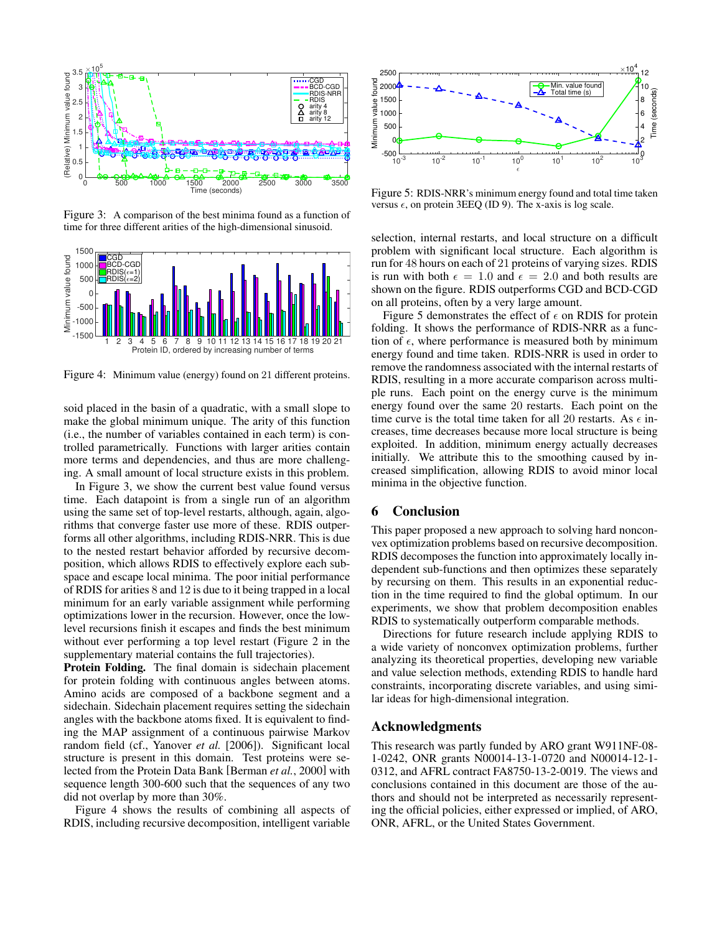

Figure 3: A comparison of the best minima found as a function of time for three different arities of the high-dimensional sinusoid.



Figure 4: Minimum value (energy) found on 21 different proteins.

soid placed in the basin of a quadratic, with a small slope to make the global minimum unique. The arity of this function (i.e., the number of variables contained in each term) is controlled parametrically. Functions with larger arities contain more terms and dependencies, and thus are more challenging. A small amount of local structure exists in this problem.

In Figure 3, we show the current best value found versus time. Each datapoint is from a single run of an algorithm using the same set of top-level restarts, although, again, algorithms that converge faster use more of these. RDIS outperforms all other algorithms, including RDIS-NRR. This is due to the nested restart behavior afforded by recursive decomposition, which allows RDIS to effectively explore each subspace and escape local minima. The poor initial performance of RDIS for arities 8 and 12 is due to it being trapped in a local minimum for an early variable assignment while performing optimizations lower in the recursion. However, once the lowlevel recursions finish it escapes and finds the best minimum without ever performing a top level restart (Figure 2 in the supplementary material contains the full trajectories).

Protein Folding. The final domain is sidechain placement for protein folding with continuous angles between atoms. Amino acids are composed of a backbone segment and a sidechain. Sidechain placement requires setting the sidechain angles with the backbone atoms fixed. It is equivalent to finding the MAP assignment of a continuous pairwise Markov random field (cf., Yanover *et al.* [2006]). Significant local structure is present in this domain. Test proteins were selected from the Protein Data Bank [Berman *et al.*, 2000] with sequence length 300-600 such that the sequences of any two did not overlap by more than 30%.

Figure 4 shows the results of combining all aspects of RDIS, including recursive decomposition, intelligent variable



Figure 5: RDIS-NRR's minimum energy found and total time taken versus  $\epsilon$ , on protein 3EEQ (ID 9). The x-axis is log scale.

selection, internal restarts, and local structure on a difficult problem with significant local structure. Each algorithm is run for 48 hours on each of 21 proteins of varying sizes. RDIS is run with both  $\epsilon = 1.0$  and  $\epsilon = 2.0$  and both results are shown on the figure. RDIS outperforms CGD and BCD-CGD on all proteins, often by a very large amount.

Figure 5 demonstrates the effect of  $\epsilon$  on RDIS for protein folding. It shows the performance of RDIS-NRR as a function of  $\epsilon$ , where performance is measured both by minimum energy found and time taken. RDIS-NRR is used in order to remove the randomness associated with the internal restarts of RDIS, resulting in a more accurate comparison across multiple runs. Each point on the energy curve is the minimum energy found over the same 20 restarts. Each point on the time curve is the total time taken for all 20 restarts. As  $\epsilon$  increases, time decreases because more local structure is being exploited. In addition, minimum energy actually decreases initially. We attribute this to the smoothing caused by increased simplification, allowing RDIS to avoid minor local minima in the objective function.

## 6 Conclusion

This paper proposed a new approach to solving hard nonconvex optimization problems based on recursive decomposition. RDIS decomposes the function into approximately locally independent sub-functions and then optimizes these separately by recursing on them. This results in an exponential reduction in the time required to find the global optimum. In our experiments, we show that problem decomposition enables RDIS to systematically outperform comparable methods.

Directions for future research include applying RDIS to a wide variety of nonconvex optimization problems, further analyzing its theoretical properties, developing new variable and value selection methods, extending RDIS to handle hard constraints, incorporating discrete variables, and using similar ideas for high-dimensional integration.

#### Acknowledgments

This research was partly funded by ARO grant W911NF-08- 1-0242, ONR grants N00014-13-1-0720 and N00014-12-1- 0312, and AFRL contract FA8750-13-2-0019. The views and conclusions contained in this document are those of the authors and should not be interpreted as necessarily representing the official policies, either expressed or implied, of ARO, ONR, AFRL, or the United States Government.